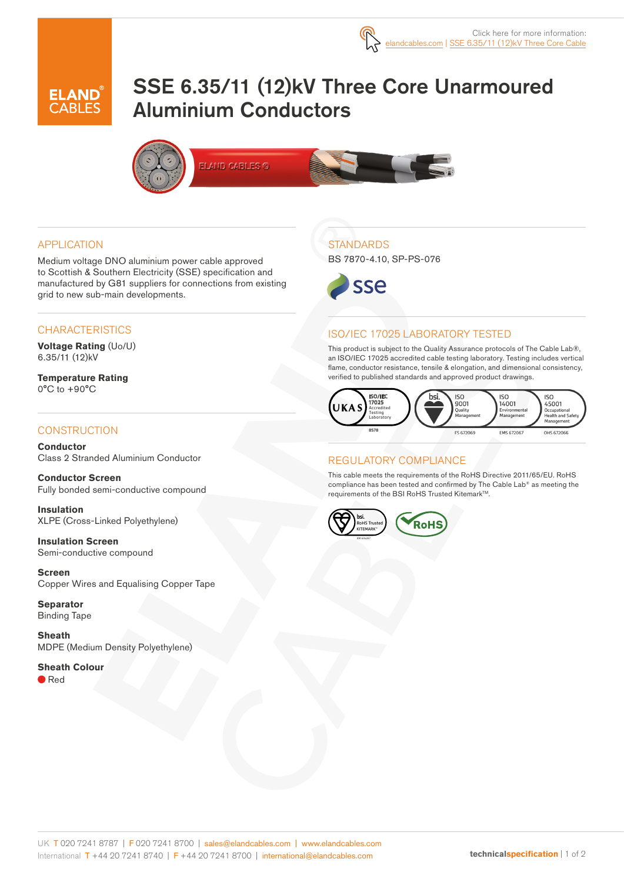

# SSE 6.35/11 (12)kV Three Core Unarmoured Aluminium Conductors



#### APPLICATION

Medium voltage DNO aluminium power cable approved to Scottish & Southern Electricity (SSE) specification and manufactured by G81 suppliers for connections from existing grid to new sub-main developments.

#### **CHARACTERISTICS**

**Voltage Rating** (Uo/U) 6.35/11 (12)kV

**Temperature Rating** 0°C to +90°C

### **CONSTRUCTION**

**Conductor** Class 2 Stranded Aluminium Conductor

**Conductor Screen** Fully bonded semi-conductive compound

**Insulation** XLPE (Cross-Linked Polyethylene)

**Insulation Screen** Semi-conductive compound

**Screen** Copper Wires and Equalising Copper Tape

**Separator** Binding Tape

**Sheath** MDPE (Medium Density Polyethylene)

#### **Sheath Colour**

● Red

## **STANDARDS**

BS 7870-4.10, SP-PS-076



### ISO/IEC 17025 LABORATORY TESTED

This product is subject to the Quality Assurance protocols of The Cable Lab®, an ISO/IEC 17025 accredited cable testing laboratory. Testing includes vertical flame, conductor resistance, tensile & elongation, and dimensional consistency, verified to published standards and approved product drawings.



### REGULATORY COMPLIANCE

This cable meets the requirements of the RoHS Directive 2011/65/EU. RoHS compliance has been tested and confirmed by The Cable Lab® as meeting the requirements of the BSI RoHS Trusted Kitemark™.